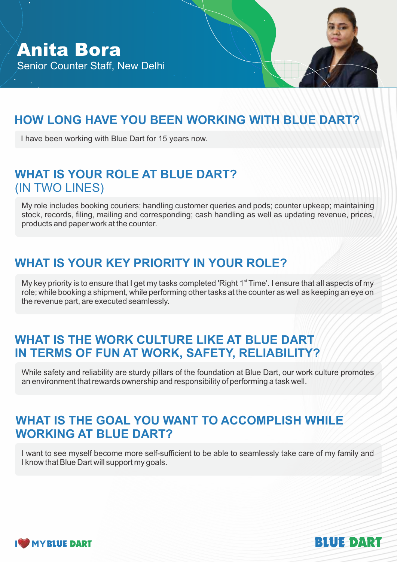# **HOW LONG HAVE YOU BEEN WORKING WITH BLUE DART?**

I have been working with Blue Dart for 15 years now.

## **WHAT IS YOUR ROLE AT BLUE DART?** (IN TWO LINES)

My role includes booking couriers; handling customer queries and pods; counter upkeep; maintaining stock, records, filing, mailing and corresponding; cash handling as well as updating revenue, prices, products and paper work at the counter.

# **WHAT IS YOUR KEY PRIORITY IN YOUR ROLE?**

My key priority is to ensure that I get my tasks completed 'Right 1<sup>st</sup> Time'. I ensure that all aspects of my role; while booking a shipment, while performing other tasks at the counter as well as keeping an eye on the revenue part, are executed seamlessly.

#### WHAT IS THE WORK CULTURE LIKE AT BLUE DART **IN TERMS OF FUN AT WORK, SAFETY, RELIABILITY?**

While safety and reliability are sturdy pillars of the foundation at Blue Dart, our work culture promotes an environment that rewards ownership and responsibility of performing a task well.

### **WHAT IS THE GOAL YOU WANT TO ACCOMPLISH WHILE WORKING AT BLUE DART?**

I want to see myself become more self-sufficient to be able to seamlessly take care of my family and I know that Blue Dart will support my goals.